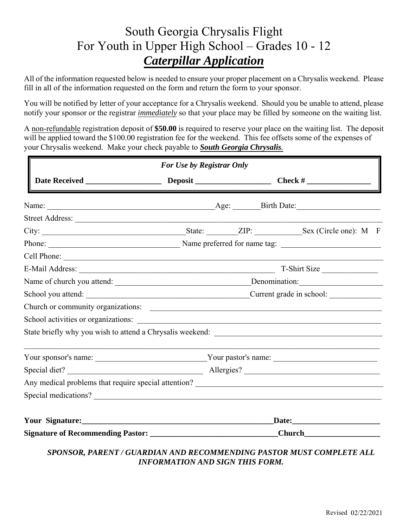## South Georgia Chrysalis Flight South Georgia Chrysalis Flight For Youth in Upper High School – Grades 10 - 12 For Youth in Upper High School — Grades 10 - 12 *Caterpillar Application* Caterpillar Application

All of the information requested below is needed to ensure your proper placement on a Chrysalis weekend. Please All of the information requested below is needed to ensure your proper placement on a Chrysalis weekend. Please fill in all of the information requested on the form and return the form to your sponsor. fill in all of the information requested on the form and return the form to your sponsor.

You will be notified by letter of your acceptance for a Chrysalis weekend. Should you be unable to attend, please notify your sponsor or the registrar *immediately* so that your place may be filled by someone on the waiting list.

A non-refundable registration deposit of \$50.00 is required to reserve your place on the waiting list. The deposit will be applied toward the \$100.00 registration fee for the weekend. This fee offsets some of the expenses of your Chrysalis weekend. Make your check payable to **South Georgia Chrysalis**.

|                 | Church or community organizations:                                                                             |
|-----------------|----------------------------------------------------------------------------------------------------------------|
|                 |                                                                                                                |
|                 |                                                                                                                |
|                 |                                                                                                                |
|                 |                                                                                                                |
|                 |                                                                                                                |
|                 | Special medications?                                                                                           |
| Your Signature: |                                                                                                                |
|                 | Signature of Recommending Pastor: _________________________________Church_________                             |
|                 | SPONSOR, PARENT / GUARDIAN AND RECOMMENDING PASTOR MUST COMPLETE ALL<br><b>INFORMATION AND SIGN THIS FORM.</b> |